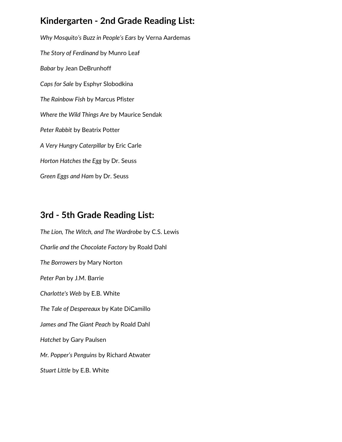## **Kindergarten - 2nd Grade Reading List:**

*Why Mosquito's Buzz in People's Ears* by Verna Aardemas *The Story of Ferdinand* by Munro Leaf *Babar* by Jean DeBrunhoff *Caps for Sale* by Esphyr Slobodkina *The Rainbow Fish* by Marcus Pfister *Where the Wild Things Are* by Maurice Sendak *Peter Rabbit* by Beatrix Potter *A Very Hungry Caterpillar* by Eric Carle *Horton Hatches the Egg* by Dr. Seuss *Green Eggs and Ham* by Dr. Seuss

## **3rd - 5th Grade Reading List:**

*The Lion, The Witch, and The Wardrobe* by C.S. Lewis *Charlie and the Chocolate Factory* by Roald Dahl *The Borrowers* by Mary Norton *Peter Pan* by J.M. Barrie *Charlotte's Web* by E.B. White *The Tale of Despereaux* by Kate DiCamillo *James and The Giant Peach* by Roald Dahl *Hatchet* by Gary Paulsen *Mr. Popper's Penguins* by Richard Atwater *Stuart Little* by E.B. White